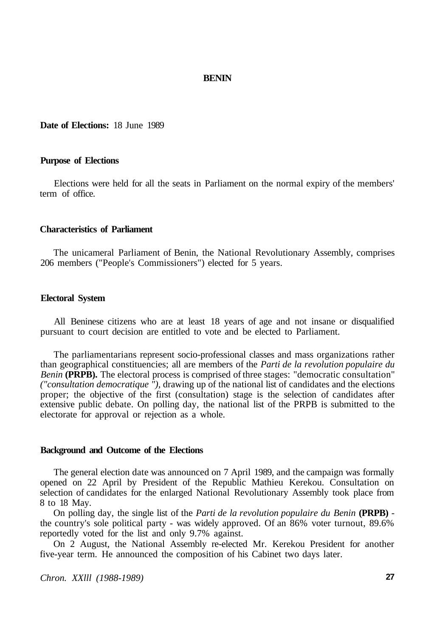#### **BENIN**

**Date of Elections:** 18 June 1989

## **Purpose of Elections**

Elections were held for all the seats in Parliament on the normal expiry of the members' term of office.

#### **Characteristics of Parliament**

The unicameral Parliament of Benin, the National Revolutionary Assembly, comprises 206 members ("People's Commissioners") elected for 5 years.

## **Electoral System**

All Beninese citizens who are at least 18 years of age and not insane or disqualified pursuant to court decision are entitled to vote and be elected to Parliament.

The parliamentarians represent socio-professional classes and mass organizations rather than geographical constituencies; all are members of the *Parti de la revolution populaire du Benin* **(PRPB).** The electoral process is comprised of three stages: "democratic consultation" *("consultation democratique "),* drawing up of the national list of candidates and the elections proper; the objective of the first (consultation) stage is the selection of candidates after extensive public debate. On polling day, the national list of the PRPB is submitted to the electorate for approval or rejection as a whole.

### **Background and Outcome of the Elections**

The general election date was announced on 7 April 1989, and the campaign was formally opened on 22 April by President of the Republic Mathieu Kerekou. Consultation on selection of candidates for the enlarged National Revolutionary Assembly took place from 8 to 18 May.

On polling day, the single list of the *Parti de la revolution populaire du Benin* **(PRPB)** the country's sole political party - was widely approved. Of an 86% voter turnout, 89.6% reportedly voted for the list and only 9.7% against.

On 2 August, the National Assembly re-elected Mr. Kerekou President for another five-year term. He announced the composition of his Cabinet two days later.

*Chron. XXlll (1988-1989)* **27**